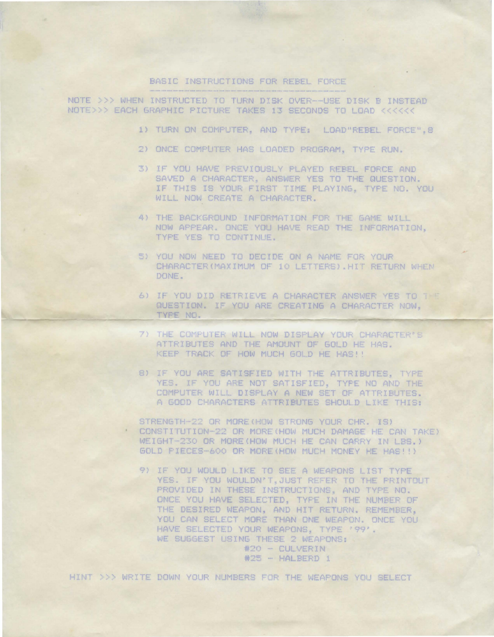## BASIC INSTRUCTIONS FOR REBEL FORCE

NOTE >>> WHEN INSTRUCTED TO TURN DISK OVER--USE DISK B INSTEAD NOTE>>> EACH GRAPHIC PICTURE TAKES 13 SECONDS TO LOAD <<<<<<

- 1) TURN ON COMPUTER, AND TYPE: LOAD"REBEL FORCE", 8
- 2) ONCE COMPUTER HAS LOADED PROGRAM, TYPE RUN.
- 3) IF YOU HAVE PREVIOUSLY PLAYED REBEL FORCE AND SAVED A CHARACTER. ANSWER YES TO THE QUESTION. IF THIS IS YOUR FIRST TIME PLAYING, TYPE NO. YOU WILL NOW CREATE A CHARACTER.
- 4) THE BACKGROUND INFORMATION FOR THE GAME WILL NOW APPEAR, ONCE YOU HAVE READ THE INFORMATION, TYPE YES TO CONTINUE.
- 5) YOU NOW NEED TO DECIDE ON A NAME FOR YOUR CHARACTER (MAXIMUM OF 10 LETTERS). HIT RETURN WHEN DONE.
- 6) IF YOU DID RETRIEVE A CHARACTER ANSWER YES TO THE QUESTION. IF YOU ARE CREATING A CHARACTER NOW. TYPE NO.
- 7) THE COMPUTER WILL NOW DISPLAY YOUR CHARACTER'S ATTRIBUTES AND THE AMOUNT OF GOLD HE HAS. KEEP TRACK OF HOW MUCH GOLD HE HAS!!
- 8) IF YOU ARE SATISFIED WITH THE ATTRIBUTES. TYPE YES. IF YOU ARE NOT SATISFIED, TYPE NO AND THE COMPUTER WILL DISPLAY A NEW SET OF ATTRIBUTES. A GOOD CHARACTERS ATTRIBUTES SHOULD LIKE THIS:
- STRENGTH-22 OR MORE(HOW STRONG YOUR CHR. IS) CONSTITUTION-22 OR MORE(HOW MUCH DAMAGE HE CAN TAKE) WEIGHT-230 OR MORE(HOW MUCH HE CAN CARRY IN LBS.) GOLD PIECES-600 OR MORE (HOW MUCH MONEY HE HAS!!)
	- 9) IF YOU WOULD LIKE TO SEE A WEAPONS LIST TYPE YES. IF YOU WOULDN'T, JUST REFER TO THE PRINTOUT PROVIDED IN THESE INSTRUCTIONS, AND TYPE NO. ONCE YOU HAVE SELECTED, TYPE IN THE NUMBER OF THE DESIRED WEAPON, AND HIT RETURN, REMEMBER, YOU CAN SELECT MORE THAN ONE WEAPON, ONCE YOU HAVE SELECTED YOUR WEAPONS, TYPE '99'. WE SUGGEST USING THESE 2 WEAPONS: #20 - CULVERIN

#25 - HALBERD 1

HINT >>> WRITE DOWN YOUR NUMBERS FOR THE WEAPONS YOU SELECT